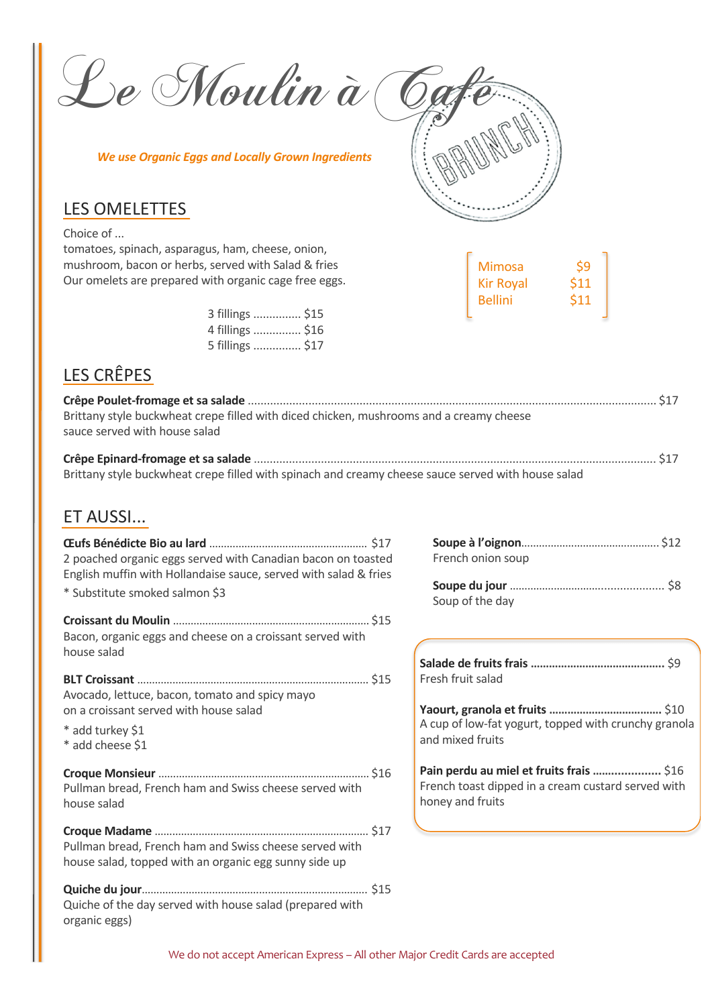Le Moulin à Ce

*We use Organic Eggs and Locally Grown Ingredients*

#### LES OMELETTES

Choice of ...

tomatoes, spinach, asparagus, ham, cheese, onion, mushroom, bacon or herbs, served with Salad & fries Our omelets are prepared with organic cage free eggs.

|  | 3 fillings  \$15 |  |
|--|------------------|--|
|  | 4 fillings  \$16 |  |
|  | 5 fillings  \$17 |  |

# Mimosa \$9 Kir Royal \$11 Bellini \$11

| - |  |
|---|--|
|   |  |

**Crêpe Poulet-fromage et sa salade** ................................................................................................................................ \$17 Brittany style buckwheat crepe filled with diced chicken, mushrooms and a creamy cheese sauce served with house salad

| Brittany style buckwheat crepe filled with spinach and creamy cheese sauce served with house salad |  |
|----------------------------------------------------------------------------------------------------|--|

#### ET AUSSI...

| 2 poached organic eggs served with Canadian bacon on toasted<br>English muffin with Hollandaise sauce, served with salad & fries |
|----------------------------------------------------------------------------------------------------------------------------------|
| * Substitute smoked salmon \$3                                                                                                   |
| Bacon, organic eggs and cheese on a croissant served with<br>house salad                                                         |
| Avocado, lettuce, bacon, tomato and spicy mayo<br>on a croissant served with house salad                                         |
| * add turkey \$1<br>* add cheese \$1                                                                                             |
| Pullman bread, French ham and Swiss cheese served with<br>house salad                                                            |
| Pullman bread, French ham and Swiss cheese served with<br>house salad, topped with an organic egg sunny side up                  |
|                                                                                                                                  |

**Soupe à l'oignon**……………………………………….. \$12 French onion soup **Soupe du jour** …………………………..................... \$8

Soup of the day

**Salade de fruits frais ……………………………………..** \$9 Fresh fruit salad

**Yaourt, granola et fruits ……………………………….** \$10 A cup of low-fat yogurt, topped with crunchy granola and mixed fruits

**Pain perdu au miel et fruits frais ……...............** \$16 French toast dipped in a cream custard served with honey and fruits

Quiche of the day served with house salad (prepared with organic eggs)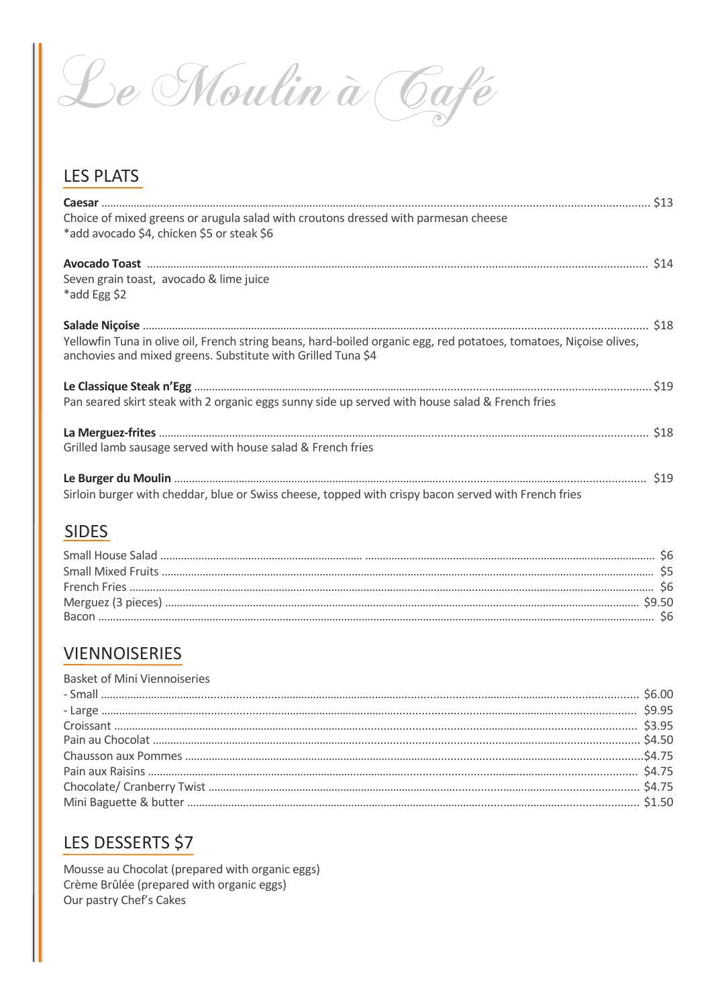Le Moulin à Café

### LES PLATS

| Choice of mixed greens or arugula salad with croutons dressed with parmesan cheese<br>*add avocado \$4, chicken \$5 or steak \$6                                                   |  |
|------------------------------------------------------------------------------------------------------------------------------------------------------------------------------------|--|
| Seven grain toast, avocado & lime juice<br>*add Egg \$2                                                                                                                            |  |
| Yellowfin Tuna in olive oil, French string beans, hard-boiled organic egg, red potatoes, tomatoes, Niçoise olives,<br>anchovies and mixed greens. Substitute with Grilled Tuna \$4 |  |
| Pan seared skirt steak with 2 organic eggs sunny side up served with house salad & French fries                                                                                    |  |
| Grilled lamb sausage served with house salad & French fries                                                                                                                        |  |
| Sirloin burger with cheddar, blue or Swiss cheese, topped with crispy bacon served with French fries                                                                               |  |

#### SIDES

#### **VIENNOISERIES**

| <b>Basket of Mini Viennoiseries</b> |  |
|-------------------------------------|--|
|                                     |  |
|                                     |  |
|                                     |  |
|                                     |  |
|                                     |  |
|                                     |  |
|                                     |  |

## LES DESSERTS \$7

Mousse au Chocolat (prepared with organic eggs) Crème Brûlée (prepared with organic eggs) Our pastry Chef's Cakes